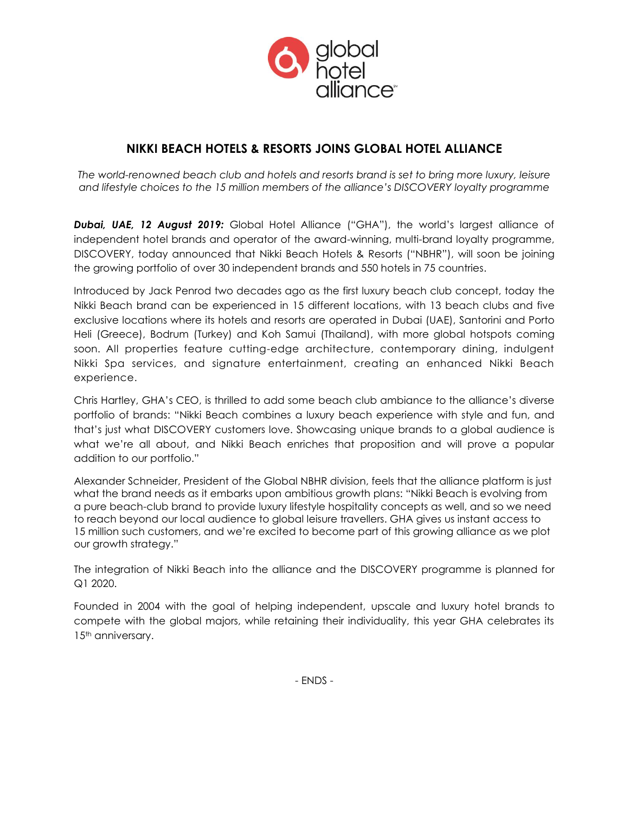

# **NIKKI BEACH HOTELS & RESORTS JOINS GLOBAL HOTEL ALLIANCE**

*The world-renowned beach club and hotels and resorts brand is set to bring more luxury, leisure and lifestyle choices to the 15 million members of the alliance's DISCOVERY loyalty programme*

*Dubai, UAE, 12 August 2019:* Global Hotel Alliance ("GHA"), the world's largest alliance of independent hotel brands and operator of the award-winning, multi-brand loyalty programme, DISCOVERY, today announced that Nikki Beach Hotels & Resorts ("NBHR"), will soon be joining the growing portfolio of over 30 independent brands and 550 hotels in 75 countries.

Introduced by Jack Penrod two decades ago as the first luxury beach club concept, today the Nikki Beach brand can be experienced in 15 different locations, with 13 beach clubs and five exclusive locations where its hotels and resorts are operated in Dubai (UAE), Santorini and Porto Heli (Greece), Bodrum (Turkey) and Koh Samui (Thailand), with more global hotspots coming soon. All properties feature cutting-edge architecture, contemporary dining, indulgent Nikki Spa services, and signature entertainment, creating an enhanced Nikki Beach experience.

Chris Hartley, GHA's CEO, is thrilled to add some beach club ambiance to the alliance's diverse portfolio of brands: "Nikki Beach combines a luxury beach experience with style and fun, and that's just what DISCOVERY customers love. Showcasing unique brands to a global audience is what we're all about, and Nikki Beach enriches that proposition and will prove a popular addition to our portfolio."

Alexander Schneider, President of the Global NBHR division, feels that the alliance platform is just what the brand needs as it embarks upon ambitious growth plans: "Nikki Beach is evolving from a pure beach-club brand to provide luxury lifestyle hospitality concepts as well, and so we need to reach beyond our local audience to global leisure travellers. GHA gives us instant access to 15 million such customers, and we're excited to become part of this growing alliance as we plot our growth strategy."

The integration of Nikki Beach into the alliance and the DISCOVERY programme is planned for Q1 2020.

Founded in 2004 with the goal of helping independent, upscale and luxury hotel brands to compete with the global majors, while retaining their individuality, this year GHA celebrates its 15<sup>th</sup> anniversary.

- ENDS -